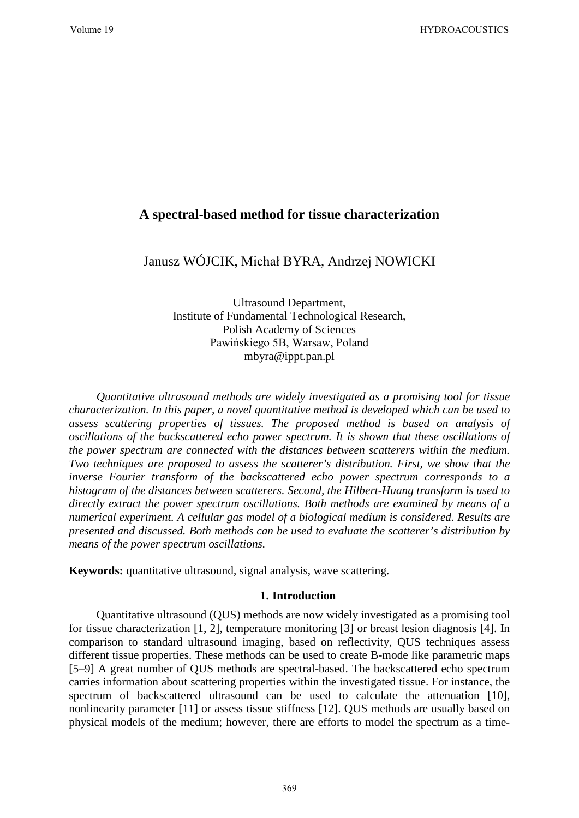# **A spectral-based method for tissue characterization**

Janusz WÓJCIK, Michał BYRA, Andrzej NOWICKI

Ultrasound Department, Institute of Fundamental Technological Research, Polish Academy of Sciences Pawińskiego 5B, Warsaw, Poland mbyra@ippt.pan.pl

*Quantitative ultrasound methods are widely investigated as a promising tool for tissue characterization. In this paper, a novel quantitative method is developed which can be used to assess scattering properties of tissues. The proposed method is based on analysis of oscillations of the backscattered echo power spectrum. It is shown that these oscillations of the power spectrum are connected with the distances between scatterers within the medium. Two techniques are proposed to assess the scatterer's distribution. First, we show that the inverse Fourier transform of the backscattered echo power spectrum corresponds to a histogram of the distances between scatterers. Second, the Hilbert-Huang transform is used to directly extract the power spectrum oscillations. Both methods are examined by means of a numerical experiment. A cellular gas model of a biological medium is considered. Results are presented and discussed. Both methods can be used to evaluate the scatterer's distribution by means of the power spectrum oscillations.* 

**Keywords:** quantitative ultrasound, signal analysis, wave scattering.

## **1. Introduction**

Quantitative ultrasound (QUS) methods are now widely investigated as a promising tool for tissue characterization [1, 2], temperature monitoring [3] or breast lesion diagnosis [4]. In comparison to standard ultrasound imaging, based on reflectivity, QUS techniques assess different tissue properties. These methods can be used to create B-mode like parametric maps [5–9] A great number of QUS methods are spectral-based. The backscattered echo spectrum carries information about scattering properties within the investigated tissue. For instance, the spectrum of backscattered ultrasound can be used to calculate the attenuation [10], nonlinearity parameter [11] or assess tissue stiffness [12]. QUS methods are usually based on physical models of the medium; however, there are efforts to model the spectrum as a time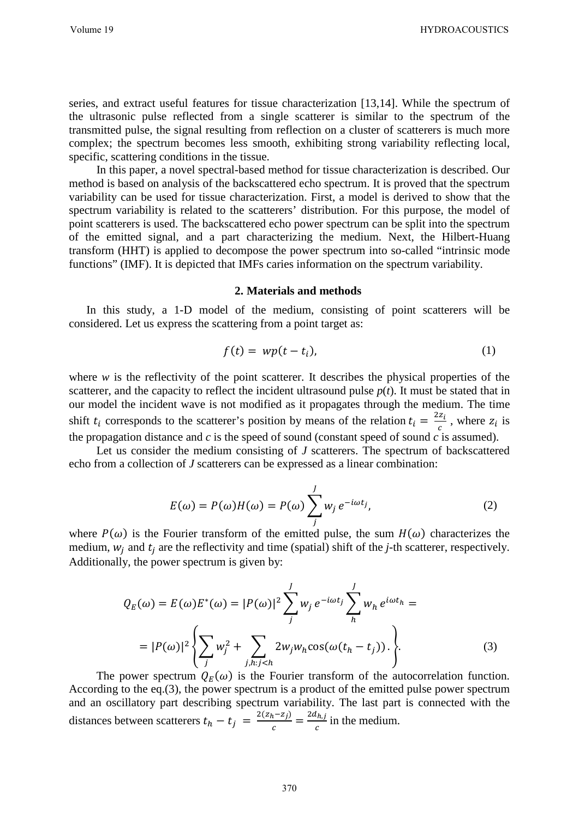series, and extract useful features for tissue characterization [13,14]. While the spectrum of the ultrasonic pulse reflected from a single scatterer is similar to the spectrum of the transmitted pulse, the signal resulting from reflection on a cluster of scatterers is much more complex; the spectrum becomes less smooth, exhibiting strong variability reflecting local, specific, scattering conditions in the tissue.

In this paper, a novel spectral-based method for tissue characterization is described. Our method is based on analysis of the backscattered echo spectrum. It is proved that the spectrum variability can be used for tissue characterization. First, a model is derived to show that the spectrum variability is related to the scatterers' distribution. For this purpose, the model of point scatterers is used. The backscattered echo power spectrum can be split into the spectrum of the emitted signal, and a part characterizing the medium. Next, the Hilbert-Huang transform (HHT) is applied to decompose the power spectrum into so-called "intrinsic mode functions" (IMF). It is depicted that IMFs caries information on the spectrum variability.

## **2. Materials and methods**

In this study, a 1-D model of the medium, consisting of point scatterers will be considered. Let us express the scattering from a point target as:

$$
f(t) = wp(t - t_i),
$$
\n(1)

where *w* is the reflectivity of the point scatterer. It describes the physical properties of the scatterer, and the capacity to reflect the incident ultrasound pulse  $p(t)$ . It must be stated that in our model the incident wave is not modified as it propagates through the medium. The time shift  $t_i$  corresponds to the scatterer's position by means of the relation  $t_i = \frac{2z_i}{c}$ , where  $z_i$  is the propagation distance and  $c$  is the speed of sound (constant speed of sound  $c$  is assumed).

Let us consider the medium consisting of *J* scatterers. The spectrum of backscattered echo from a collection of *J* scatterers can be expressed as a linear combination:

$$
E(\omega) = P(\omega)H(\omega) = P(\omega) \sum_{j}^{J} w_{j} e^{-i\omega t_{j}},
$$
\n(2)

where  $P(\omega)$  is the Fourier transform of the emitted pulse, the sum  $H(\omega)$  characterizes the medium,  $w_i$  and  $t_i$  are the reflectivity and time (spatial) shift of the *j*-th scatterer, respectively. Additionally, the power spectrum is given by:

$$
Q_E(\omega) = E(\omega)E^*(\omega) = |P(\omega)|^2 \sum_j^J w_j e^{-i\omega t_j} \sum_h^J w_h e^{i\omega t_h} =
$$
  

$$
= |P(\omega)|^2 \left\{ \sum_j w_j^2 + \sum_{j,h: j (3)
$$

The power spectrum  $Q_E(\omega)$  is the Fourier transform of the autocorrelation function. According to the eq.(3), the power spectrum is a product of the emitted pulse power spectrum and an oscillatory part describing spectrum variability. The last part is connected with the distances between scatterers  $t_h - t_j = \frac{2(z_h - z_j)}{c} = \frac{2a_{h,j}}{c}$  in the medium.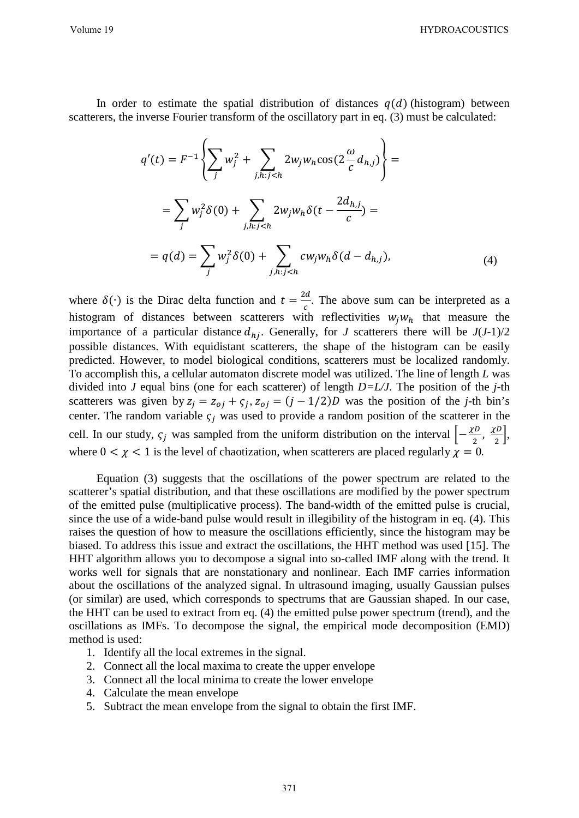Volume 19 HYDROACOUSTICS

In order to estimate the spatial distribution of distances  $q(d)$  (histogram) between scatterers, the inverse Fourier transform of the oscillatory part in eq. (3) must be calculated:

$$
q'(t) = F^{-1} \left\{ \sum_{j} w_{j}^{2} + \sum_{j,h:j  

$$
= \sum_{j} w_{j}^{2} \delta(0) + \sum_{j,h:j  

$$
= q(d) = \sum_{j} w_{j}^{2} \delta(0) + \sum_{j,h:j (4)
$$
$$
$$

where  $\delta(\cdot)$  is the Dirac delta function and  $t = \frac{2d}{c}$ . The above sum can be interpreted as a histogram of distances between scatterers with reflectivities  $w_i w_h$  that measure the importance of a particular distance  $d_{hj}$ . Generally, for *J* scatterers there will be  $J(J-1)/2$ possible distances. With equidistant scatterers, the shape of the histogram can be easily predicted. However, to model biological conditions, scatterers must be localized randomly. To accomplish this, a cellular automaton discrete model was utilized. The line of length *L* was divided into *J* equal bins (one for each scatterer) of length *D=L/J*. The position of the *j*-th scatterers was given by  $z_j = z_{oj} + \varsigma_j$ ,  $z_{oj} = (j - 1/2)D$  was the position of the *j*-th bin's center. The random variable  $\varsigma_i$  was used to provide a random position of the scatterer in the cell. In our study,  $\zeta_j$  was sampled from the uniform distribution on the interval  $\left[-\frac{\chi D}{2}, \frac{\chi D}{2}\right]$ , where  $0 < \chi < 1$  is the level of chaotization, when scatterers are placed regularly  $\chi = 0$ .

Equation (3) suggests that the oscillations of the power spectrum are related to the scatterer's spatial distribution, and that these oscillations are modified by the power spectrum of the emitted pulse (multiplicative process). The band-width of the emitted pulse is crucial, since the use of a wide-band pulse would result in illegibility of the histogram in eq. (4). This raises the question of how to measure the oscillations efficiently, since the histogram may be biased. To address this issue and extract the oscillations, the HHT method was used [15]. The HHT algorithm allows you to decompose a signal into so-called IMF along with the trend. It works well for signals that are nonstationary and nonlinear. Each IMF carries information about the oscillations of the analyzed signal. In ultrasound imaging, usually Gaussian pulses (or similar) are used, which corresponds to spectrums that are Gaussian shaped. In our case, the HHT can be used to extract from eq. (4) the emitted pulse power spectrum (trend), and the oscillations as IMFs. To decompose the signal, the empirical mode decomposition (EMD) method is used:

- 1. Identify all the local extremes in the signal.
- 2. Connect all the local maxima to create the upper envelope
- 3. Connect all the local minima to create the lower envelope
- 4. Calculate the mean envelope
- 5. Subtract the mean envelope from the signal to obtain the first IMF.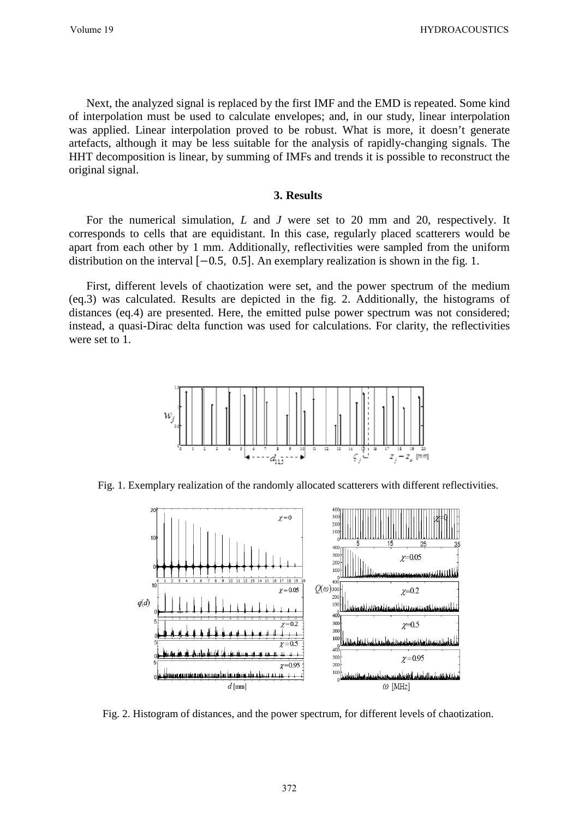Next, the analyzed signal is replaced by the first IMF and the EMD is repeated. Some kind of interpolation must be used to calculate envelopes; and, in our study, linear interpolation was applied. Linear interpolation proved to be robust. What is more, it doesn't generate artefacts, although it may be less suitable for the analysis of rapidly-changing signals. The HHT decomposition is linear, by summing of IMFs and trends it is possible to reconstruct the original signal.

### **3. Results**

For the numerical simulation, *L* and *J* were set to 20 mm and 20, respectively. It corresponds to cells that are equidistant. In this case, regularly placed scatterers would be apart from each other by 1 mm. Additionally, reflectivities were sampled from the uniform distribution on the interval [−0.5, 0.5]. An exemplary realization is shown in the fig. 1.

First, different levels of chaotization were set, and the power spectrum of the medium (eq.3) was calculated. Results are depicted in the fig. 2. Additionally, the histograms of distances (eq.4) are presented. Here, the emitted pulse power spectrum was not considered; instead, a quasi-Dirac delta function was used for calculations. For clarity, the reflectivities were set to 1.



Fig. 1. Exemplary realization of the randomly allocated scatterers with different reflectivities.



Fig. 2. Histogram of distances, and the power spectrum, for different levels of chaotization.

372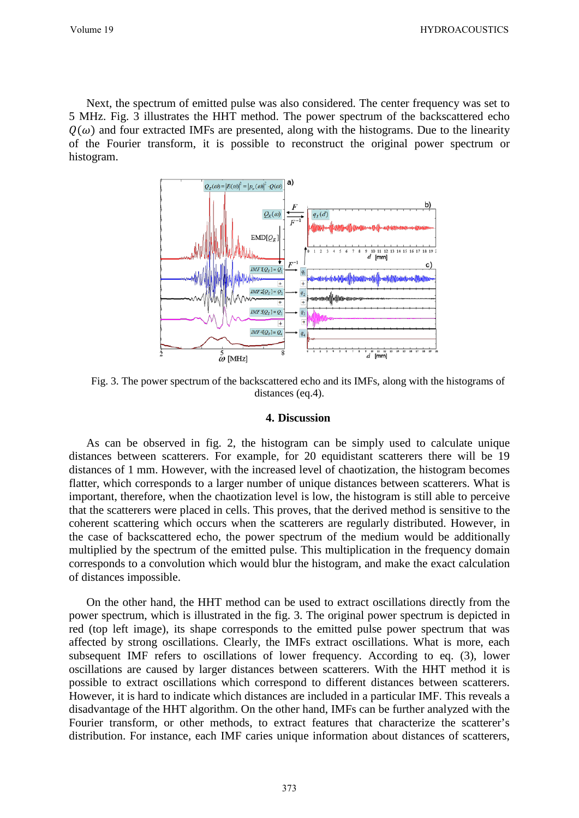Next, the spectrum of emitted pulse was also considered. The center frequency was set to 5 MHz. Fig. 3 illustrates the HHT method. The power spectrum of the backscattered echo  $Q(\omega)$  and four extracted IMFs are presented, along with the histograms. Due to the linearity of the Fourier transform, it is possible to reconstruct the original power spectrum or histogram.



Fig. 3. The power spectrum of the backscattered echo and its IMFs, along with the histograms of distances (eq.4).

#### **4. Discussion**

As can be observed in fig. 2, the histogram can be simply used to calculate unique distances between scatterers. For example, for 20 equidistant scatterers there will be 19 distances of 1 mm. However, with the increased level of chaotization, the histogram becomes flatter, which corresponds to a larger number of unique distances between scatterers. What is important, therefore, when the chaotization level is low, the histogram is still able to perceive that the scatterers were placed in cells. This proves, that the derived method is sensitive to the coherent scattering which occurs when the scatterers are regularly distributed. However, in the case of backscattered echo, the power spectrum of the medium would be additionally multiplied by the spectrum of the emitted pulse. This multiplication in the frequency domain corresponds to a convolution which would blur the histogram, and make the exact calculation of distances impossible.

On the other hand, the HHT method can be used to extract oscillations directly from the power spectrum, which is illustrated in the fig. 3. The original power spectrum is depicted in red (top left image), its shape corresponds to the emitted pulse power spectrum that was affected by strong oscillations. Clearly, the IMFs extract oscillations. What is more, each subsequent IMF refers to oscillations of lower frequency. According to eq. (3), lower oscillations are caused by larger distances between scatterers. With the HHT method it is possible to extract oscillations which correspond to different distances between scatterers. However, it is hard to indicate which distances are included in a particular IMF. This reveals a disadvantage of the HHT algorithm. On the other hand, IMFs can be further analyzed with the Fourier transform, or other methods, to extract features that characterize the scatterer's distribution. For instance, each IMF caries unique information about distances of scatterers,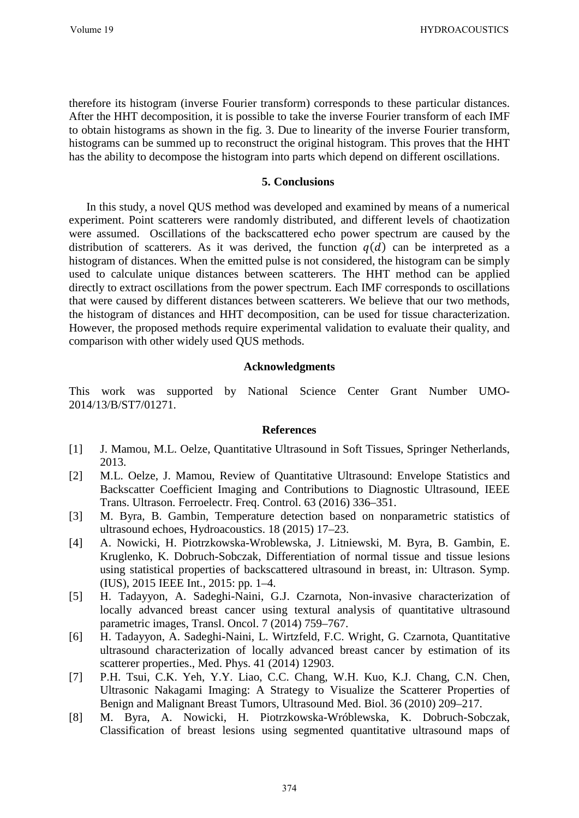therefore its histogram (inverse Fourier transform) corresponds to these particular distances. After the HHT decomposition, it is possible to take the inverse Fourier transform of each IMF to obtain histograms as shown in the fig. 3. Due to linearity of the inverse Fourier transform, histograms can be summed up to reconstruct the original histogram. This proves that the HHT has the ability to decompose the histogram into parts which depend on different oscillations.

## **5. Conclusions**

In this study, a novel QUS method was developed and examined by means of a numerical experiment. Point scatterers were randomly distributed, and different levels of chaotization were assumed. Oscillations of the backscattered echo power spectrum are caused by the distribution of scatterers. As it was derived, the function  $q(d)$  can be interpreted as a histogram of distances. When the emitted pulse is not considered, the histogram can be simply used to calculate unique distances between scatterers. The HHT method can be applied directly to extract oscillations from the power spectrum. Each IMF corresponds to oscillations that were caused by different distances between scatterers. We believe that our two methods, the histogram of distances and HHT decomposition, can be used for tissue characterization. However, the proposed methods require experimental validation to evaluate their quality, and comparison with other widely used QUS methods.

## **Acknowledgments**

This work was supported by National Science Center Grant Number UMO-2014/13/B/ST7/01271.

## **References**

- [1] J. Mamou, M.L. Oelze, Quantitative Ultrasound in Soft Tissues, Springer Netherlands, 2013.
- [2] M.L. Oelze, J. Mamou, Review of Quantitative Ultrasound: Envelope Statistics and Backscatter Coefficient Imaging and Contributions to Diagnostic Ultrasound, IEEE Trans. Ultrason. Ferroelectr. Freq. Control. 63 (2016) 336–351.
- [3] M. Byra, B. Gambin, Temperature detection based on nonparametric statistics of ultrasound echoes, Hydroacoustics. 18 (2015) 17–23.
- [4] A. Nowicki, H. Piotrzkowska-Wroblewska, J. Litniewski, M. Byra, B. Gambin, E. Kruglenko, K. Dobruch-Sobczak, Differentiation of normal tissue and tissue lesions using statistical properties of backscattered ultrasound in breast, in: Ultrason. Symp. (IUS), 2015 IEEE Int., 2015: pp. 1–4.
- [5] H. Tadayyon, A. Sadeghi-Naini, G.J. Czarnota, Non-invasive characterization of locally advanced breast cancer using textural analysis of quantitative ultrasound parametric images, Transl. Oncol. 7 (2014) 759–767.
- [6] H. Tadayyon, A. Sadeghi-Naini, L. Wirtzfeld, F.C. Wright, G. Czarnota, Quantitative ultrasound characterization of locally advanced breast cancer by estimation of its scatterer properties., Med. Phys. 41 (2014) 12903.
- [7] P.H. Tsui, C.K. Yeh, Y.Y. Liao, C.C. Chang, W.H. Kuo, K.J. Chang, C.N. Chen, Ultrasonic Nakagami Imaging: A Strategy to Visualize the Scatterer Properties of Benign and Malignant Breast Tumors, Ultrasound Med. Biol. 36 (2010) 209–217.
- [8] M. Byra, A. Nowicki, H. Piotrzkowska-Wróblewska, K. Dobruch-Sobczak, Classification of breast lesions using segmented quantitative ultrasound maps of